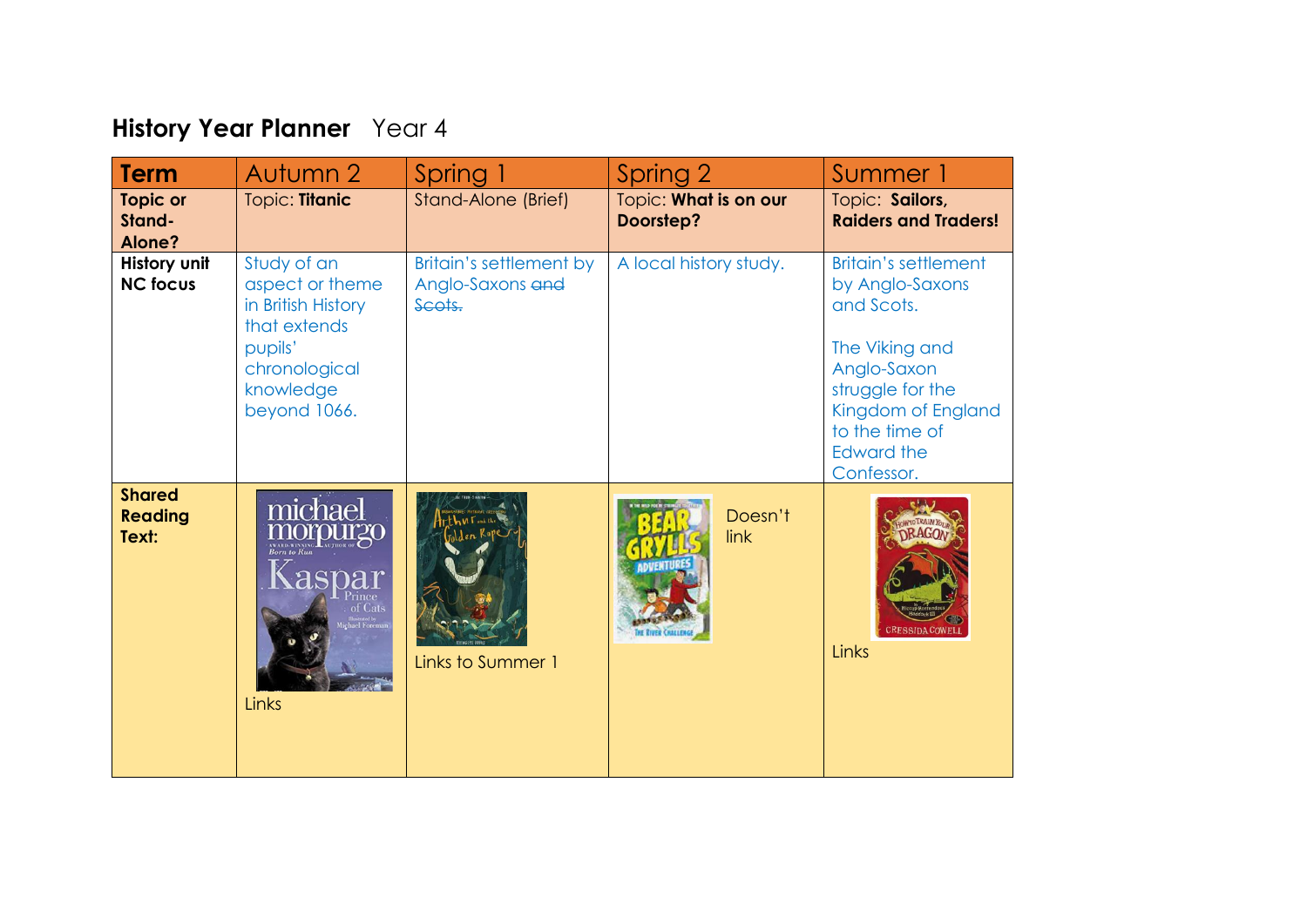## **History Year Planner** Year 4

| <b>Term</b>                              | Autumn 2                                                                                                                      | Spring 1                                              | Spring 2                           | Summer 1                                                                                                                                                                                     |
|------------------------------------------|-------------------------------------------------------------------------------------------------------------------------------|-------------------------------------------------------|------------------------------------|----------------------------------------------------------------------------------------------------------------------------------------------------------------------------------------------|
| <b>Topic or</b><br>Stand-<br>Alone?      | Topic: Titanic                                                                                                                | Stand-Alone (Brief)                                   | Topic: What is on our<br>Doorstep? | Topic: Sailors,<br><b>Raiders and Traders!</b>                                                                                                                                               |
| History unit<br><b>NC focus</b>          | Study of an<br>aspect or theme<br>in British History<br>that extends<br>pupils'<br>chronological<br>knowledge<br>beyond 1066. | Britain's settlement by<br>Anglo-Saxons and<br>Scots. | A local history study.             | <b>Britain's settlement</b><br>by Anglo-Saxons<br>and Scots.<br>The Viking and<br>Anglo-Saxon<br>struggle for the<br>Kingdom of England<br>to the time of<br><b>Edward the</b><br>Confessor. |
| <b>Shared</b><br><b>Reading</b><br>Text: | michael<br>morpurgo<br>aspar<br>`Cats<br>Links                                                                                | ML<br>Links to Summer 1                               | Doesn't<br>link                    | <b>RESSIDA COWELI</b><br>Links                                                                                                                                                               |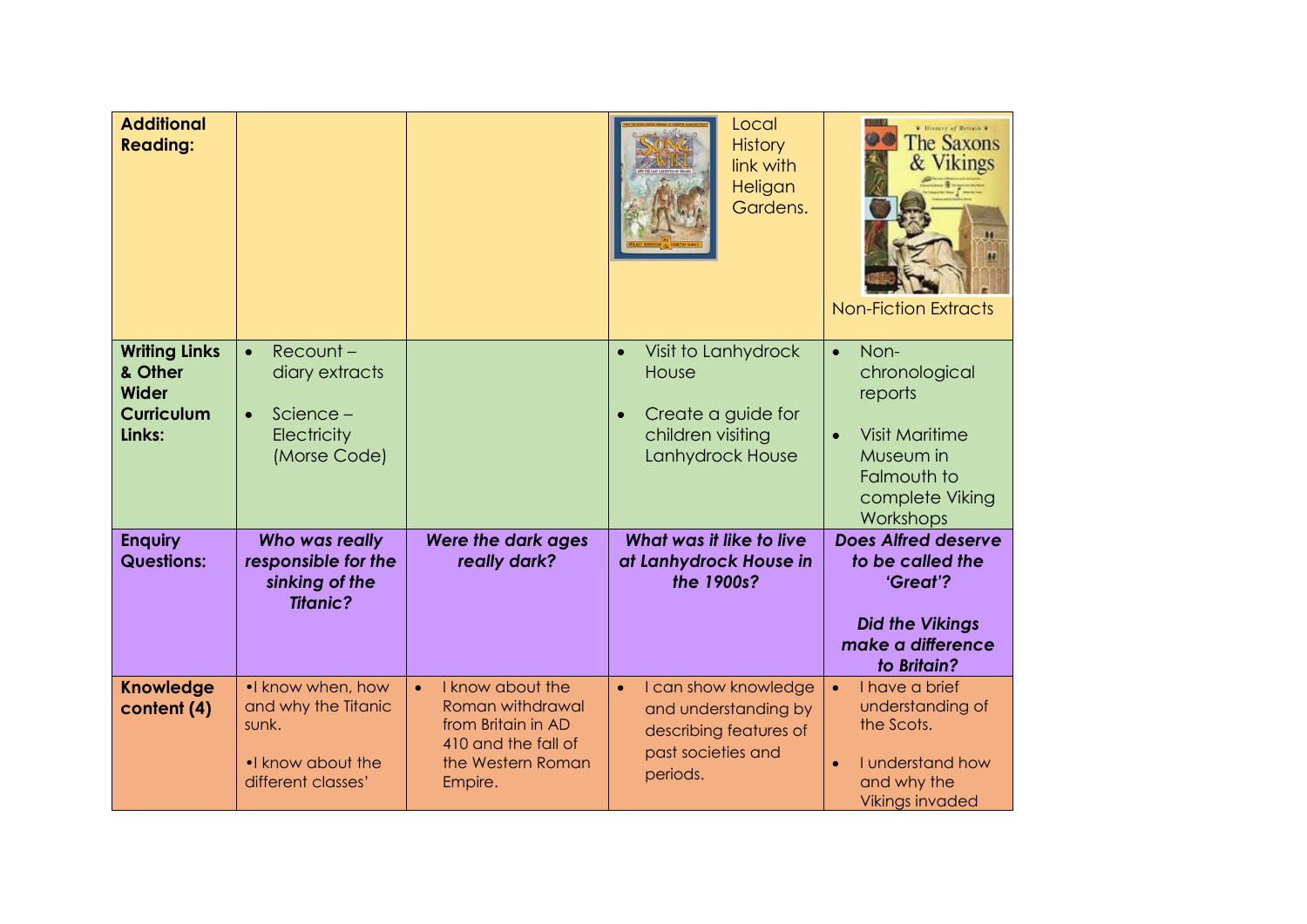| <b>Additional</b><br><b>Reading:</b>                                           |                                                                                                 |                                                                                                                   | Local<br><b>History</b><br>link with<br>Heligan<br>Gardens.                                                           | T History of Britain T<br><b>The Saxons</b><br>& Vikings<br><b>Non-Fiction Extracts</b>                                                 |
|--------------------------------------------------------------------------------|-------------------------------------------------------------------------------------------------|-------------------------------------------------------------------------------------------------------------------|-----------------------------------------------------------------------------------------------------------------------|-----------------------------------------------------------------------------------------------------------------------------------------|
| <b>Writing Links</b><br>& Other<br><b>Wider</b><br><b>Curriculum</b><br>Links: | Recount-<br>$\bullet$<br>diary extracts<br>Science-<br>$\bullet$<br>Electricity<br>(Morse Code) |                                                                                                                   | Visit to Lanhydrock<br>$\bullet$<br>House<br>Create a guide for<br>children visiting<br>Lanhydrock House              | Non-<br>$\bullet$<br>chronological<br>reports<br><b>Visit Maritime</b><br>Museum in<br>Falmouth to<br>complete Viking<br>Workshops      |
| <b>Enquiry</b><br><b>Questions:</b>                                            | Who was really<br>responsible for the<br>sinking of the<br><b>Titanic?</b>                      | Were the dark ages<br>really dark?                                                                                | What was it like to live<br>at Lanhydrock House in<br>the 1900s?                                                      | <b>Does Alfred deserve</b><br>to be called the<br>'Great'?<br><b>Did the Vikings</b><br>make a difference<br>to Britain?                |
| <b>Knowledge</b><br>content (4)                                                | . know when, how<br>and why the Titanic<br>sunk.<br>. I know about the<br>different classes'    | I know about the<br>Roman withdrawal<br>from Britain in AD<br>410 and the fall of<br>the Western Roman<br>Empire. | I can show knowledge<br>$\bullet$<br>and understanding by<br>describing features of<br>past societies and<br>periods. | I have a brief<br>$\bullet$<br>understanding of<br>the Scots.<br>I understand how<br>$\bullet$<br>and why the<br><b>Vikings invaded</b> |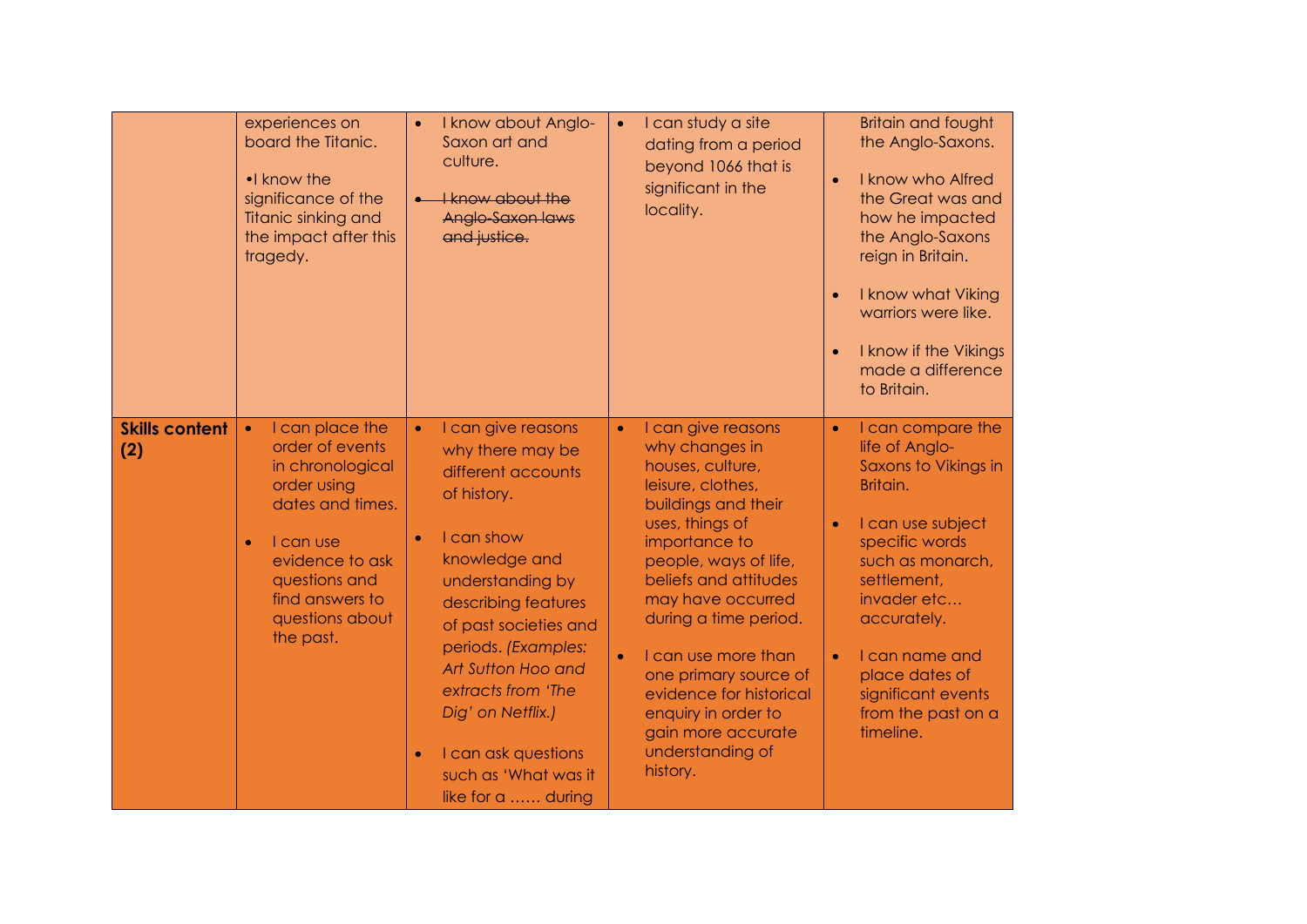|                              | experiences on<br>board the Titanic.<br>•I know the<br>significance of the<br>Titanic sinking and<br>the impact after this<br>tragedy.                                                                                  | I know about Anglo-<br>$\bullet$<br>Saxon art and<br>culture.<br><b>I know about the</b><br>Anglo-Saxon laws<br>and justice.                                                                                                                                                                                                                                                       | I can study a site<br>$\bullet$<br>dating from a period<br>beyond 1066 that is<br>significant in the<br>locality.                                                                                                                                                                                                                                                                                                          | <b>Britain and fought</b><br>the Anglo-Saxons.<br>I know who Alfred<br>$\bullet$<br>the Great was and<br>how he impacted<br>the Anglo-Saxons<br>reign in Britain.<br>I know what Viking<br>warriors were like.<br>I know if the Vikings<br>made a difference<br>to Britain.                                         |
|------------------------------|-------------------------------------------------------------------------------------------------------------------------------------------------------------------------------------------------------------------------|------------------------------------------------------------------------------------------------------------------------------------------------------------------------------------------------------------------------------------------------------------------------------------------------------------------------------------------------------------------------------------|----------------------------------------------------------------------------------------------------------------------------------------------------------------------------------------------------------------------------------------------------------------------------------------------------------------------------------------------------------------------------------------------------------------------------|---------------------------------------------------------------------------------------------------------------------------------------------------------------------------------------------------------------------------------------------------------------------------------------------------------------------|
| <b>Skills content</b><br>(2) | I can place the<br>$\bullet$<br>order of events<br>in chronological<br>order using<br>dates and times.<br>I can use<br>$\bullet$<br>evidence to ask<br>questions and<br>find answers to<br>questions about<br>the past. | I can give reasons<br>$\bullet$<br>why there may be<br>different accounts<br>of history.<br>I can show<br>$\bullet$<br>knowledge and<br>understanding by<br>describing features<br>of past societies and<br>periods. (Examples:<br>Art Sutton Hoo and<br>extracts from 'The<br>Dig' on Netflix.)<br>I can ask questions<br>$\bullet$<br>such as 'What was it<br>like for a  during | I can give reasons<br>$\bullet$<br>why changes in<br>houses, culture,<br>leisure, clothes,<br>buildings and their<br>uses, things of<br>importance to<br>people, ways of life,<br>beliefs and attitudes<br>may have occurred<br>during a time period.<br>I can use more than<br>$\bullet$<br>one primary source of<br>evidence for historical<br>enquiry in order to<br>gain more accurate<br>understanding of<br>history. | I can compare the<br>$\bullet$<br>life of Anglo-<br>Saxons to Vikings in<br>Britain.<br>I can use subject<br>$\bullet$<br>specific words<br>such as monarch,<br>settlement,<br>invader etc<br>accurately.<br>I can name and<br>$\bullet$<br>place dates of<br>significant events<br>from the past on a<br>timeline. |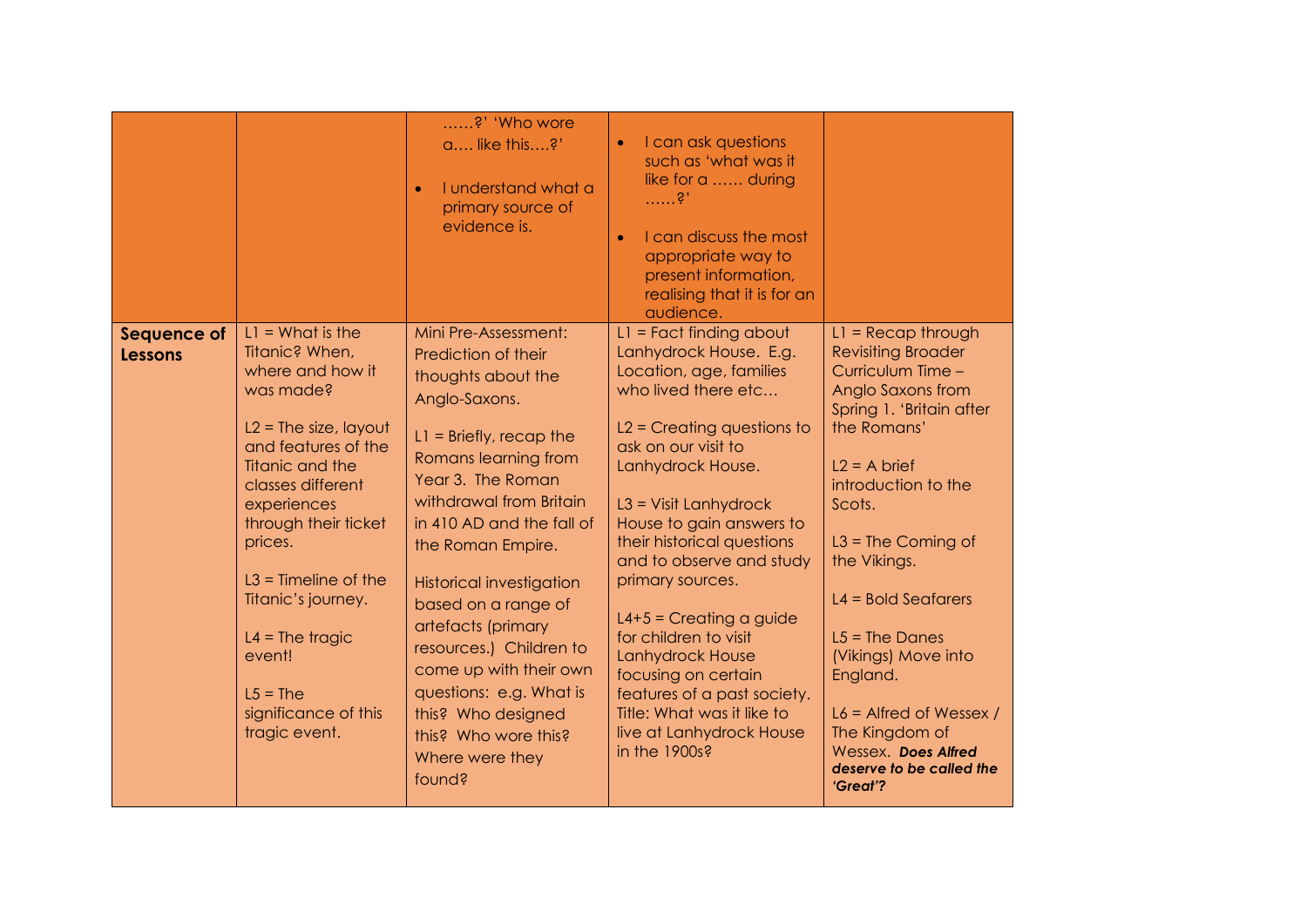|                               |                                                                                                                                                                                                                                                                                                                                                         | ?' 'Who wore<br>a like this?'<br>I understand what a<br>$\bullet$<br>primary source of<br>evidence is.                                                                                                                                                                                                                                                                                                                                                                               | I can ask questions<br>$\bullet$<br>such as 'what was it<br>like for a  during<br>$\ldots$ . ? .<br>I can discuss the most<br>$\bullet$<br>appropriate way to<br>present information,<br>realising that it is for an<br>audience.                                                                                                                                                                                                                                                                                                 |                                                                                                                                                                                                                                                                                                                                                                                                                                        |
|-------------------------------|---------------------------------------------------------------------------------------------------------------------------------------------------------------------------------------------------------------------------------------------------------------------------------------------------------------------------------------------------------|--------------------------------------------------------------------------------------------------------------------------------------------------------------------------------------------------------------------------------------------------------------------------------------------------------------------------------------------------------------------------------------------------------------------------------------------------------------------------------------|-----------------------------------------------------------------------------------------------------------------------------------------------------------------------------------------------------------------------------------------------------------------------------------------------------------------------------------------------------------------------------------------------------------------------------------------------------------------------------------------------------------------------------------|----------------------------------------------------------------------------------------------------------------------------------------------------------------------------------------------------------------------------------------------------------------------------------------------------------------------------------------------------------------------------------------------------------------------------------------|
| Sequence of<br><b>Lessons</b> | $LI = What$ is the<br>Titanic? When,<br>where and how it<br>was made?<br>$L2 =$ The size, layout<br>and features of the<br>Titanic and the<br>classes different<br>experiences<br>through their ticket<br>prices.<br>$L3$ = Timeline of the<br>Titanic's journey.<br>$L4 = The tragic$<br>event!<br>$L5 = The$<br>significance of this<br>tragic event. | Mini Pre-Assessment:<br>Prediction of their<br>thoughts about the<br>Anglo-Saxons.<br>$L1 =$ Briefly, recap the<br>Romans learning from<br>Year 3. The Roman<br>withdrawal from Britain<br>in 410 AD and the fall of<br>the Roman Empire.<br><b>Historical investigation</b><br>based on a range of<br>artefacts (primary<br>resources.) Children to<br>come up with their own<br>questions: e.g. What is<br>this? Who designed<br>this? Who wore this?<br>Where were they<br>found? | $L1 =$ Fact finding about<br>Lanhydrock House. E.g.<br>Location, age, families<br>who lived there etc<br>$L2$ = Creating questions to<br>ask on our visit to<br>Lanhydrock House.<br>$L3$ = Visit Lanhydrock<br>House to gain answers to<br>their historical questions<br>and to observe and study<br>primary sources.<br>$L4+5$ = Creating a guide<br>for children to visit<br>Lanhydrock House<br>focusing on certain<br>features of a past society.<br>Title: What was it like to<br>live at Lanhydrock House<br>in the 1900s? | $LI = Recap$ through<br><b>Revisiting Broader</b><br>Curriculum Time -<br>Anglo Saxons from<br>Spring 1. 'Britain after<br>the Romans'<br>$L2 = A$ brief<br>introduction to the<br>Scots.<br>$L3$ = The Coming of<br>the Vikings.<br>$L4 = Bold$ Seafarers<br>$L5 = The Danes$<br>(Vikings) Move into<br>England.<br>$L6$ = Alfred of Wessex /<br>The Kingdom of<br><b>Wessex. Does Alfred</b><br>deserve to be called the<br>'Great'? |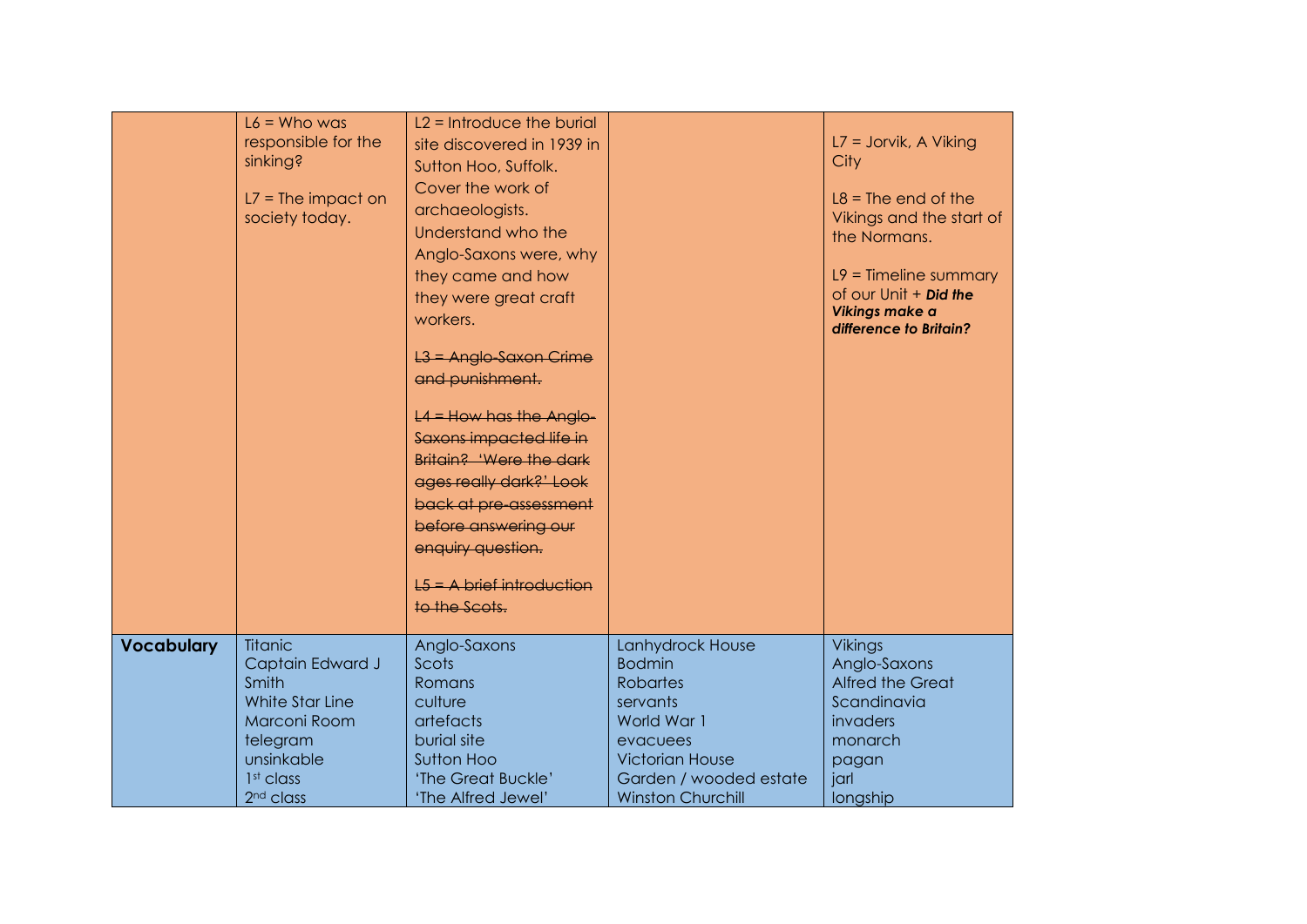|                   |                                       | $L2 = Introduce the bur$     |                          |                                                  |
|-------------------|---------------------------------------|------------------------------|--------------------------|--------------------------------------------------|
|                   | $L6 =$ Who was<br>responsible for the | site discovered in 1939 in   |                          | $L7 =$ Jorvik, A Viking                          |
|                   | sinking?                              | Sutton Hoo, Suffolk.         |                          | City                                             |
|                   |                                       | Cover the work of            |                          |                                                  |
|                   | $L7 = The impact on$                  |                              |                          | $L8 =$ The end of the                            |
|                   | society today.                        | archaeologists.              |                          | Vikings and the start of                         |
|                   |                                       | Understand who the           |                          | the Normans.                                     |
|                   |                                       | Anglo-Saxons were, why       |                          |                                                  |
|                   |                                       | they came and how            |                          | $L9$ = Timeline summary                          |
|                   |                                       | they were great craft        |                          | of our Unit $+$ Did the<br><b>Vikings make a</b> |
|                   |                                       | workers.                     |                          | difference to Britain?                           |
|                   |                                       | L3 = Anglo-Saxon Crime       |                          |                                                  |
|                   |                                       | and punishment.              |                          |                                                  |
|                   |                                       |                              |                          |                                                  |
|                   |                                       | $L4 =$ How has the Anglo-    |                          |                                                  |
|                   |                                       | Saxons impacted life in      |                          |                                                  |
|                   |                                       | Britain? 'Were the dark      |                          |                                                  |
|                   |                                       | ages really dark?' Look      |                          |                                                  |
|                   |                                       | back at pre-assessment       |                          |                                                  |
|                   |                                       | before answering our         |                          |                                                  |
|                   |                                       | enquiry question.            |                          |                                                  |
|                   |                                       | $E_5$ = A brief introduction |                          |                                                  |
|                   |                                       | to the Scots.                |                          |                                                  |
|                   |                                       |                              |                          |                                                  |
| <b>Vocabulary</b> | <b>Titanic</b>                        | Anglo-Saxons                 | Lanhydrock House         | <b>Vikings</b>                                   |
|                   | Captain Edward J                      | Scots                        | <b>Bodmin</b>            | Anglo-Saxons                                     |
|                   | Smith                                 | Romans                       | <b>Robartes</b>          | <b>Alfred the Great</b>                          |
|                   | White Star Line<br>Marconi Room       | culture<br>artefacts         | servants<br>World War 1  | Scandinavia<br>invaders                          |
|                   | telegram                              | burial site                  | evacuees                 | monarch                                          |
|                   | unsinkable                            | Sutton Hoo                   | <b>Victorian House</b>   | pagan                                            |
|                   | 1 <sup>st</sup> class                 | 'The Great Buckle'           | Garden / wooded estate   | jarl                                             |
|                   | 2 <sup>nd</sup> class                 | 'The Alfred Jewel'           | <b>Winston Churchill</b> | longship                                         |